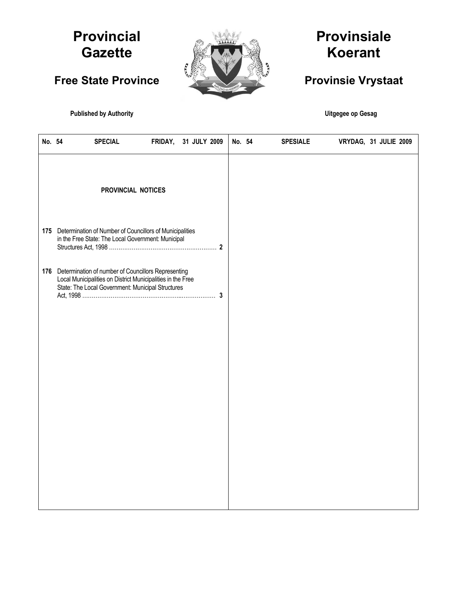# **Provincial Gazette**

**Free State Province** 



# **Provinsiale Koerant**

# **Provinsie Vrystaat**

**Published by Authority Contract Contract Contract Contract Contract Contract Contract Contract Contract Contract Contract Contract Contract Contract Contract Contract Contract Contract Contract Contract Contract Contract** 

| No. 54 | <b>SPECIAL</b>                                                                                                                                                              | FRIDAY, | 31 JULY 2009 | No. 54 | <b>SPESIALE</b> | VRYDAG, 31 JULIE 2009 |  |  |
|--------|-----------------------------------------------------------------------------------------------------------------------------------------------------------------------------|---------|--------------|--------|-----------------|-----------------------|--|--|
|        | PROVINCIAL NOTICES                                                                                                                                                          |         |              |        |                 |                       |  |  |
| 175    | Determination of Number of Councillors of Municipalities<br>in the Free State: The Local Government: Municipal                                                              |         |              |        |                 |                       |  |  |
|        | 176 Determination of number of Councillors Representing<br>Local Municipalities on District Municipalities in the Free<br>State: The Local Government: Municipal Structures |         |              |        |                 |                       |  |  |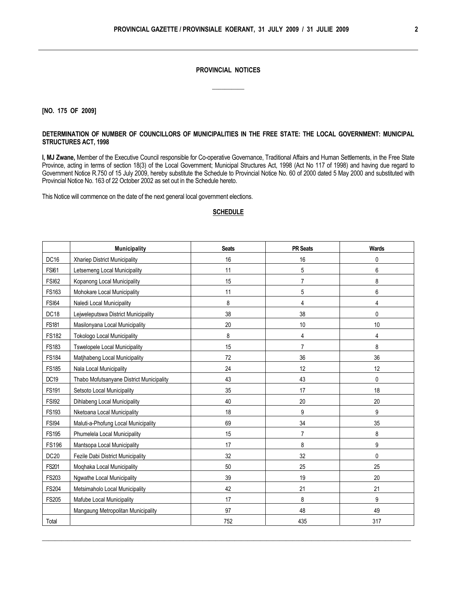### **PROVINCIAL NOTICES**

 $\overline{\phantom{a}}$  ,  $\overline{\phantom{a}}$  ,  $\overline{\phantom{a}}$  ,  $\overline{\phantom{a}}$  ,  $\overline{\phantom{a}}$  ,  $\overline{\phantom{a}}$  ,  $\overline{\phantom{a}}$  ,  $\overline{\phantom{a}}$  ,  $\overline{\phantom{a}}$  ,  $\overline{\phantom{a}}$  ,  $\overline{\phantom{a}}$  ,  $\overline{\phantom{a}}$  ,  $\overline{\phantom{a}}$  ,  $\overline{\phantom{a}}$  ,  $\overline{\phantom{a}}$  ,  $\overline{\phantom{a}}$ 

**[NO. 175 OF 2009]**

#### **DETERMINATION OF NUMBER OF COUNCILLORS OF MUNICIPALITIES IN THE FREE STATE: THE LOCAL GOVERNMENT: MUNICIPAL STRUCTURES ACT, 1998**

**I, MJ Zwane,** Member of the Executive Council responsible for Co-operative Governance, Traditional Affairs and Human Settlements, in the Free State Province, acting in terms of section 18(3) of the Local Government; Municipal Structures Act, 1998 (Act No 117 of 1998) and having due regard to Government Notice R.750 of 15 July 2009, hereby substitute the Schedule to Provincial Notice No. 60 of 2000 dated 5 May 2000 and substituted with Provincial Notice No. 163 of 22 October 2002 as set out in the Schedule hereto.

This Notice will commence on the date of the next general local government elections.

### **SCHEDULE**

|                  | <b>Municipality</b>                      | <b>Seats</b> | <b>PR Seats</b> | Wards |
|------------------|------------------------------------------|--------------|-----------------|-------|
| <b>DC16</b>      | Xhariep District Municipality            | 16           | 16              | 0     |
| <b>FSI61</b>     | Letsemeng Local Municipality             | 11           | 5               | 6     |
| <b>FSI62</b>     | Kopanong Local Municipality              | 15           | $\overline{7}$  | 8     |
| <b>FS163</b>     | Mohokare Local Municipality              | 11           | 5               | 6     |
| <b>FSI64</b>     | Naledi Local Municipality                | 8            | 4               | 4     |
| DC18             | Lejweleputswa District Municipality      | 38           | 38              | 0     |
| <b>FS181</b>     | Masilonyana Local Municipality           | 20           | 10              | 10    |
| <b>FS182</b>     | <b>Tokologo Local Municipality</b>       | 8            | 4               | 4     |
| FS183            | Tswelopele Local Municipality            | 15           | $\overline{7}$  | 8     |
| <b>FS184</b>     | Matjhabeng Local Municipality            | 72           | 36              | 36    |
| <b>FS185</b>     | Nala Local Municipality                  | 24           | 12              | 12    |
| DC <sub>19</sub> | Thabo Mofutsanyane District Municipality | 43           | 43              | 0     |
| FS191            | Setsoto Local Municipality               | 35           | 17              | 18    |
| <b>FSI92</b>     | Dihlabeng Local Municipality             | 40           | 20              | 20    |
| FS193            | Nketoana Local Municipality              | 18           | 9               | 9     |
| <b>FSI94</b>     | Maluti-a-Phofung Local Municipality      | 69           | 34              | 35    |
| <b>FS195</b>     | Phumelela Local Municipality             | 15           | $\overline{7}$  | 8     |
| <b>FS196</b>     | Mantsopa Local Municipality              | 17           | 8               | 9     |
| DC <sub>20</sub> | Fezile Dabi District Municipality        | 32           | 32              | 0     |
| FS201            | Moqhaka Local Municipality               | 50           | 25              | 25    |
| FS203            | Ngwathe Local Municipality               | 39           | 19              | 20    |
| <b>FS204</b>     | Metsimaholo Local Municipality           | 42           | 21              | 21    |
| <b>FS205</b>     | Mafube Local Municipality                | 17           | 8               | 9     |
|                  | Mangaung Metropolitan Municipality       | 97           | 48              | 49    |
| Total            |                                          | 752          | 435             | 317   |

\_\_\_\_\_\_\_\_\_\_\_\_\_\_\_\_\_\_\_\_\_\_\_\_\_\_\_\_\_\_\_\_\_\_\_\_\_\_\_\_\_\_\_\_\_\_\_\_\_\_\_\_\_\_\_\_\_\_\_\_\_\_\_\_\_\_\_\_\_\_\_\_\_\_\_\_\_\_\_\_\_\_\_\_\_\_\_\_\_\_\_\_\_\_\_\_\_\_\_\_\_\_\_\_\_\_\_\_\_\_\_\_\_\_\_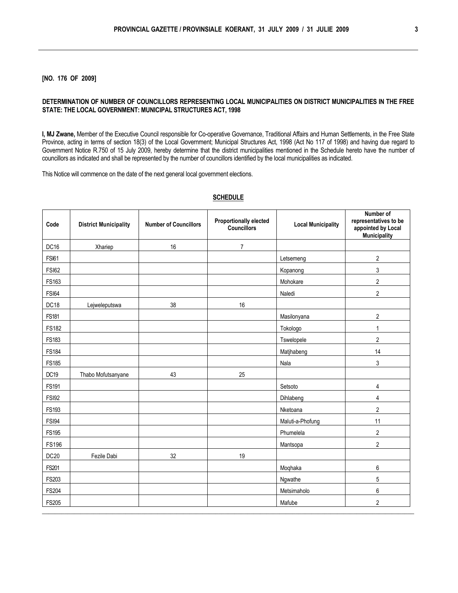### **[NO. 176 OF 2009]**

#### **DETERMINATION OF NUMBER OF COUNCILLORS REPRESENTING LOCAL MUNICIPALITIES ON DISTRICT MUNICIPALITIES IN THE FREE STATE: THE LOCAL GOVERNMENT: MUNICIPAL STRUCTURES ACT, 1998**

**I, MJ Zwane,** Member of the Executive Council responsible for Co-operative Governance, Traditional Affairs and Human Settlements, in the Free State Province, acting in terms of section 18(3) of the Local Government; Municipal Structures Act, 1998 (Act No 117 of 1998) and having due regard to Government Notice R.750 of 15 July 2009, hereby determine that the district municipalities mentioned in the Schedule hereto have the number of councillors as indicated and shall be represented by the number of councillors identified by the local municipalities as indicated.

This Notice will commence on the date of the next general local government elections.

| Code             | <b>District Municipality</b> | <b>Number of Councillors</b> | <b>Proportionally elected</b><br><b>Councillors</b> | <b>Local Municipality</b> | Number of<br>representatives to be<br>appointed by Local<br><b>Municipality</b> |
|------------------|------------------------------|------------------------------|-----------------------------------------------------|---------------------------|---------------------------------------------------------------------------------|
| DC <sub>16</sub> | Xhariep                      | 16                           | $\overline{7}$                                      |                           |                                                                                 |
| <b>FSI61</b>     |                              |                              |                                                     | Letsemeng                 | $\overline{c}$                                                                  |
| <b>FSI62</b>     |                              |                              |                                                     | Kopanong                  | 3                                                                               |
| FS163            |                              |                              |                                                     | Mohokare                  | $\overline{a}$                                                                  |
| <b>FSI64</b>     |                              |                              |                                                     | Naledi                    | $\overline{2}$                                                                  |
| DC18             | Lejweleputswa                | 38                           | 16                                                  |                           |                                                                                 |
| <b>FS181</b>     |                              |                              |                                                     | Masilonyana               | $\overline{\mathbf{c}}$                                                         |
| <b>FS182</b>     |                              |                              |                                                     | Tokologo                  | 1                                                                               |
| FS183            |                              |                              |                                                     | Tswelopele                | $\overline{2}$                                                                  |
| <b>FS184</b>     |                              |                              |                                                     | Matjhabeng                | 14                                                                              |
| <b>FS185</b>     |                              |                              |                                                     | Nala                      | 3                                                                               |
| DC19             | Thabo Mofutsanyane           | 43                           | 25                                                  |                           |                                                                                 |
| <b>FS191</b>     |                              |                              |                                                     | Setsoto                   | 4                                                                               |
| <b>FSI92</b>     |                              |                              |                                                     | Dihlabeng                 | 4                                                                               |
| <b>FS193</b>     |                              |                              |                                                     | Nketoana                  | $\overline{2}$                                                                  |
| <b>FSI94</b>     |                              |                              |                                                     | Maluti-a-Phofung          | 11                                                                              |
| <b>FS195</b>     |                              |                              |                                                     | Phumelela                 | $\overline{2}$                                                                  |
| <b>FS196</b>     |                              |                              |                                                     | Mantsopa                  | $\overline{2}$                                                                  |
| DC <sub>20</sub> | Fezile Dabi                  | 32                           | 19                                                  |                           |                                                                                 |
| FS201            |                              |                              |                                                     | Moqhaka                   | 6                                                                               |
| FS203            |                              |                              |                                                     | Ngwathe                   | 5                                                                               |
| <b>FS204</b>     |                              |                              |                                                     | Metsimaholo               | 6                                                                               |
| <b>FS205</b>     |                              |                              |                                                     | Mafube                    | $\overline{2}$                                                                  |

#### **SCHEDULE**